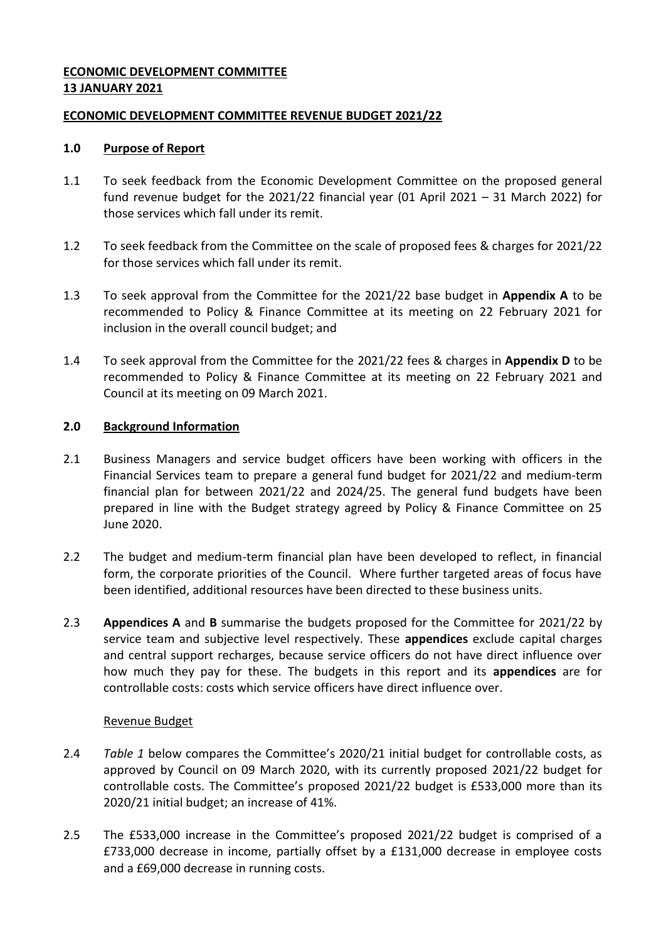# **ECONOMIC DEVELOPMENT COMMITTEE 13 JANUARY 2021**

# **ECONOMIC DEVELOPMENT COMMITTEE REVENUE BUDGET 2021/22**

# **1.0 Purpose of Report**

- 1.1 To seek feedback from the Economic Development Committee on the proposed general fund revenue budget for the 2021/22 financial year (01 April 2021 – 31 March 2022) for those services which fall under its remit.
- 1.2 To seek feedback from the Committee on the scale of proposed fees & charges for 2021/22 for those services which fall under its remit.
- 1.3 To seek approval from the Committee for the 2021/22 base budget in **Appendix A** to be recommended to Policy & Finance Committee at its meeting on 22 February 2021 for inclusion in the overall council budget; and
- 1.4 To seek approval from the Committee for the 2021/22 fees & charges in **Appendix D** to be recommended to Policy & Finance Committee at its meeting on 22 February 2021 and Council at its meeting on 09 March 2021.

# **2.0 Background Information**

- 2.1 Business Managers and service budget officers have been working with officers in the Financial Services team to prepare a general fund budget for 2021/22 and medium-term financial plan for between 2021/22 and 2024/25. The general fund budgets have been prepared in line with the Budget strategy agreed by Policy & Finance Committee on 25 June 2020.
- 2.2 The budget and medium-term financial plan have been developed to reflect, in financial form, the corporate priorities of the Council. Where further targeted areas of focus have been identified, additional resources have been directed to these business units.
- 2.3 **Appendices A** and **B** summarise the budgets proposed for the Committee for 2021/22 by service team and subjective level respectively. These **appendices** exclude capital charges and central support recharges, because service officers do not have direct influence over how much they pay for these. The budgets in this report and its **appendices** are for controllable costs: costs which service officers have direct influence over.

## Revenue Budget

- 2.4 *Table 1* below compares the Committee's 2020/21 initial budget for controllable costs, as approved by Council on 09 March 2020, with its currently proposed 2021/22 budget for controllable costs. The Committee's proposed 2021/22 budget is £533,000 more than its 2020/21 initial budget; an increase of 41%.
- 2.5 The £533,000 increase in the Committee's proposed 2021/22 budget is comprised of a £733,000 decrease in income, partially offset by a £131,000 decrease in employee costs and a £69,000 decrease in running costs.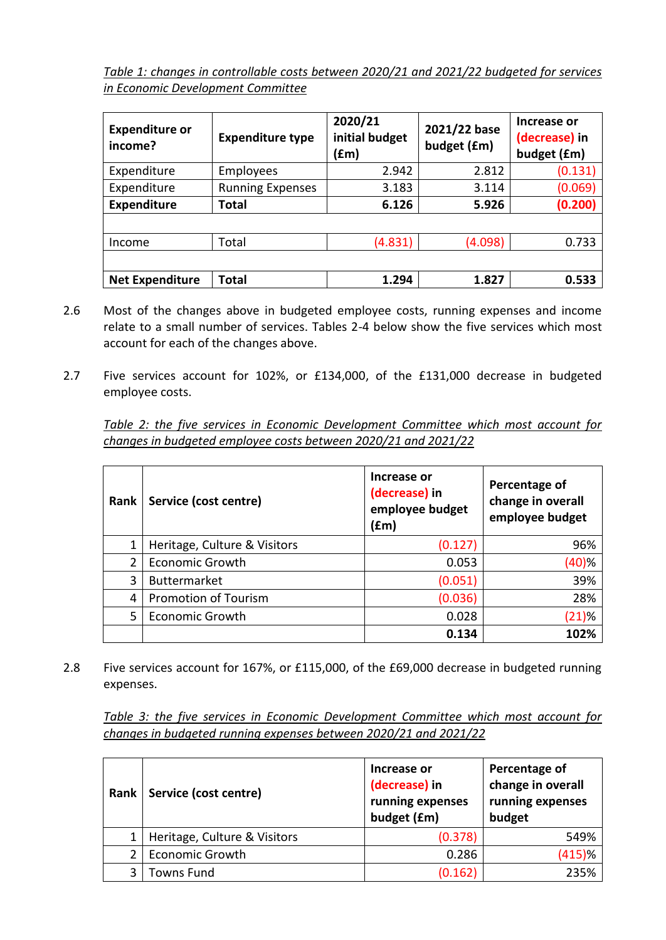*Table 1: changes in controllable costs between 2020/21 and 2021/22 budgeted for services in Economic Development Committee*

| <b>Expenditure or</b><br>income? | <b>Expenditure type</b> | 2020/21<br>initial budget<br>(£m) | 2021/22 base<br>budget (£m) | Increase or<br>(decrease) in<br>budget (£m) |
|----------------------------------|-------------------------|-----------------------------------|-----------------------------|---------------------------------------------|
| Expenditure                      | Employees               | 2.942                             | 2.812                       | (0.131)                                     |
| Expenditure                      | <b>Running Expenses</b> | 3.183                             | 3.114                       | (0.069)                                     |
| <b>Expenditure</b>               | Total                   | 6.126                             | 5.926                       | (0.200)                                     |
|                                  |                         |                                   |                             |                                             |
| Income                           | Total                   | (4.831)                           | (4.098)                     | 0.733                                       |
|                                  |                         |                                   |                             |                                             |
| <b>Net Expenditure</b>           | Total                   | 1.294                             | 1.827                       | 0.533                                       |

- 2.6 Most of the changes above in budgeted employee costs, running expenses and income relate to a small number of services. Tables 2-4 below show the five services which most account for each of the changes above.
- 2.7 Five services account for 102%, or £134,000, of the £131,000 decrease in budgeted employee costs.

*Table 2: the five services in Economic Development Committee which most account for changes in budgeted employee costs between 2020/21 and 2021/22*

| Rank | Service (cost centre)        | Increase or<br>(decrease) in<br>employee budget<br>(£m) | Percentage of<br>change in overall<br>employee budget |
|------|------------------------------|---------------------------------------------------------|-------------------------------------------------------|
| 1    | Heritage, Culture & Visitors | (0.127)                                                 | 96%                                                   |
| 2    | <b>Economic Growth</b>       | 0.053                                                   | (40)%                                                 |
| 3    | <b>Buttermarket</b>          | (0.051)                                                 | 39%                                                   |
| 4    | <b>Promotion of Tourism</b>  | (0.036)                                                 | 28%                                                   |
| 5    | <b>Economic Growth</b>       | 0.028                                                   | (21)%                                                 |
|      |                              | 0.134                                                   | 102%                                                  |

2.8 Five services account for 167%, or £115,000, of the £69,000 decrease in budgeted running expenses.

*Table 3: the five services in Economic Development Committee which most account for changes in budgeted running expenses between 2020/21 and 2021/22*

| Rank | Service (cost centre)        | Increase or<br>(decrease) in<br>running expenses<br>budget (£m) | Percentage of<br>change in overall<br>running expenses<br>budget |
|------|------------------------------|-----------------------------------------------------------------|------------------------------------------------------------------|
|      | Heritage, Culture & Visitors | (0.378)                                                         | 549%                                                             |
|      | <b>Economic Growth</b>       | 0.286                                                           | $(415)$ %                                                        |
| ς    | Towns Fund                   | (0.162)                                                         | 235%                                                             |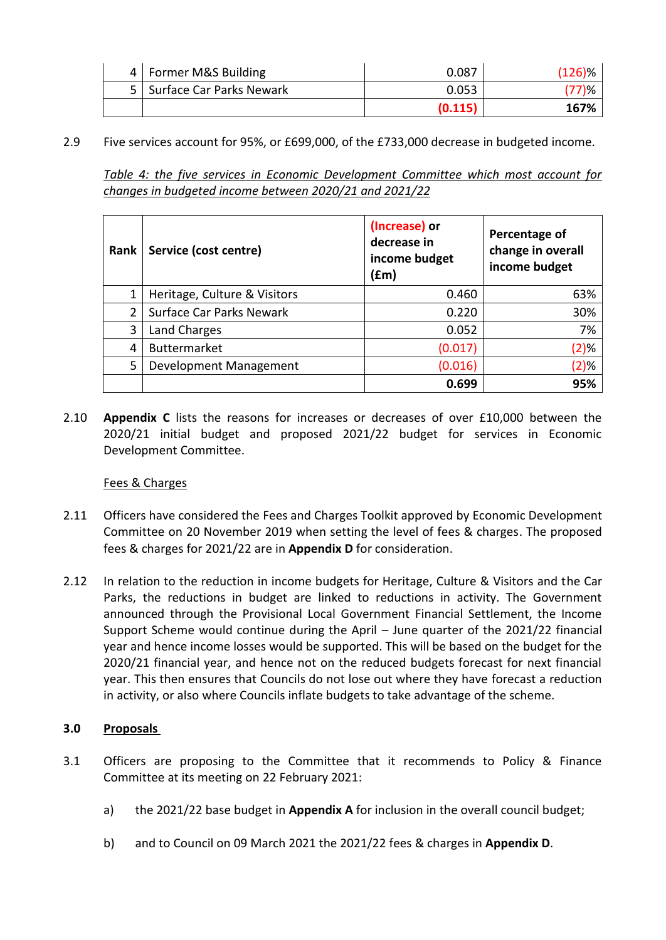| 4   Former M&S Building      | 0.087   | $(126)\%$ |
|------------------------------|---------|-----------|
| 5   Surface Car Parks Newark | 0.053   |           |
|                              | (0.115) | 167%      |

2.9 Five services account for 95%, or £699,000, of the £733,000 decrease in budgeted income.

*Table 4: the five services in Economic Development Committee which most account for changes in budgeted income between 2020/21 and 2021/22*

| Rank | Service (cost centre)           | (Increase) or<br>decrease in<br>income budget<br>(fm) | Percentage of<br>change in overall<br>income budget |
|------|---------------------------------|-------------------------------------------------------|-----------------------------------------------------|
| 1    | Heritage, Culture & Visitors    | 0.460                                                 | 63%                                                 |
| 2    | <b>Surface Car Parks Newark</b> | 0.220                                                 | 30%                                                 |
| 3    | <b>Land Charges</b>             | 0.052                                                 | 7%                                                  |
| 4    | <b>Buttermarket</b>             | (0.017)                                               | (2)%                                                |
| 5    | Development Management          | (0.016)                                               | (2)%                                                |
|      |                                 | 0.699                                                 | 95%                                                 |

2.10 **Appendix C** lists the reasons for increases or decreases of over £10,000 between the 2020/21 initial budget and proposed 2021/22 budget for services in Economic Development Committee.

## Fees & Charges

- 2.11 Officers have considered the Fees and Charges Toolkit approved by Economic Development Committee on 20 November 2019 when setting the level of fees & charges. The proposed fees & charges for 2021/22 are in **Appendix D** for consideration.
- 2.12 In relation to the reduction in income budgets for Heritage, Culture & Visitors and the Car Parks, the reductions in budget are linked to reductions in activity. The Government announced through the Provisional Local Government Financial Settlement, the Income Support Scheme would continue during the April – June quarter of the 2021/22 financial year and hence income losses would be supported. This will be based on the budget for the 2020/21 financial year, and hence not on the reduced budgets forecast for next financial year. This then ensures that Councils do not lose out where they have forecast a reduction in activity, or also where Councils inflate budgets to take advantage of the scheme.

# **3.0 Proposals**

- 3.1 Officers are proposing to the Committee that it recommends to Policy & Finance Committee at its meeting on 22 February 2021:
	- a) the 2021/22 base budget in **Appendix A** for inclusion in the overall council budget;
	- b) and to Council on 09 March 2021 the 2021/22 fees & charges in **Appendix D**.